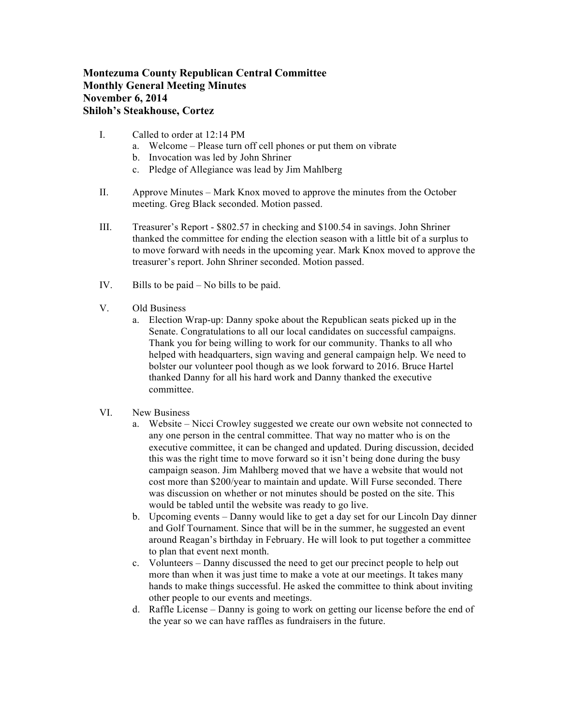## **Montezuma County Republican Central Committee Monthly General Meeting Minutes November 6, 2014 Shiloh's Steakhouse, Cortez**

- I. Called to order at 12:14 PM
	- a. Welcome Please turn off cell phones or put them on vibrate
	- b. Invocation was led by John Shriner
	- c. Pledge of Allegiance was lead by Jim Mahlberg
- II. Approve Minutes Mark Knox moved to approve the minutes from the October meeting. Greg Black seconded. Motion passed.
- III. Treasurer's Report \$802.57 in checking and \$100.54 in savings. John Shriner thanked the committee for ending the election season with a little bit of a surplus to to move forward with needs in the upcoming year. Mark Knox moved to approve the treasurer's report. John Shriner seconded. Motion passed.
- IV. Bills to be paid No bills to be paid.
- V. Old Business
	- a. Election Wrap-up: Danny spoke about the Republican seats picked up in the Senate. Congratulations to all our local candidates on successful campaigns. Thank you for being willing to work for our community. Thanks to all who helped with headquarters, sign waving and general campaign help. We need to bolster our volunteer pool though as we look forward to 2016. Bruce Hartel thanked Danny for all his hard work and Danny thanked the executive committee.
- VI. New Business
	- a. Website Nicci Crowley suggested we create our own website not connected to any one person in the central committee. That way no matter who is on the executive committee, it can be changed and updated. During discussion, decided this was the right time to move forward so it isn't being done during the busy campaign season. Jim Mahlberg moved that we have a website that would not cost more than \$200/year to maintain and update. Will Furse seconded. There was discussion on whether or not minutes should be posted on the site. This would be tabled until the website was ready to go live.
	- b. Upcoming events Danny would like to get a day set for our Lincoln Day dinner and Golf Tournament. Since that will be in the summer, he suggested an event around Reagan's birthday in February. He will look to put together a committee to plan that event next month.
	- c. Volunteers Danny discussed the need to get our precinct people to help out more than when it was just time to make a vote at our meetings. It takes many hands to make things successful. He asked the committee to think about inviting other people to our events and meetings.
	- d. Raffle License Danny is going to work on getting our license before the end of the year so we can have raffles as fundraisers in the future.